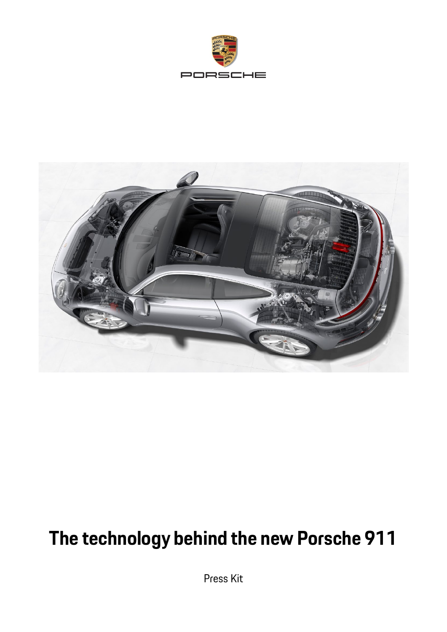



# **The technology behind the new Porsche 911**

Press Kit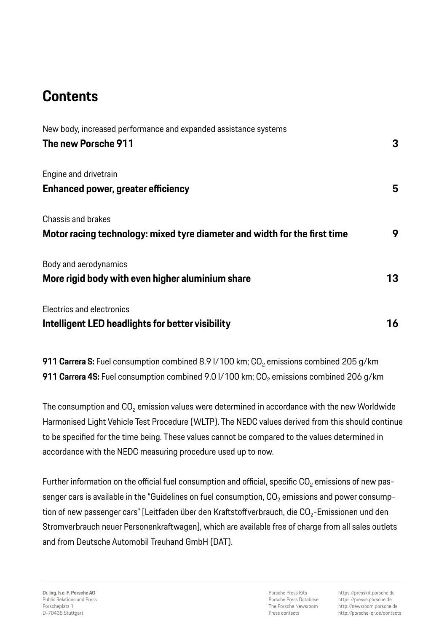# **Contents**

| New body, increased performance and expanded assistance systems           |    |
|---------------------------------------------------------------------------|----|
| The new Porsche 911                                                       | 3  |
| Engine and drivetrain                                                     |    |
| <b>Enhanced power, greater efficiency</b>                                 | 5  |
| <b>Chassis and brakes</b>                                                 |    |
| Motor racing technology: mixed tyre diameter and width for the first time | 9  |
| Body and aerodynamics                                                     |    |
| More rigid body with even higher aluminium share                          | 13 |
| Electrics and electronics                                                 |    |
| Intelligent LED headlights for better visibility                          | 16 |

**911 Carrera S:** Fuel consumption combined 8.9 l/100 km; CO<sub>2</sub> emissions combined 205 g/km **911 Carrera 4S:** Fuel consumption combined 9.0 I/100 km; CO<sub>2</sub> emissions combined 206 g/km

The consumption and  $CO<sub>2</sub>$  emission values were determined in accordance with the new Worldwide Harmonised Light Vehicle Test Procedure (WLTP). The NEDC values derived from this should continue to be specified for the time being. These values cannot be compared to the values determined in accordance with the NEDC measuring procedure used up to now.

Further information on the official fuel consumption and official, specific  $CO<sub>2</sub>$  emissions of new passenger cars is available in the "Guidelines on fuel consumption, CO<sub>2</sub> emissions and power consumption of new passenger cars" [Leitfaden über den Kraftstoffverbrauch, die  $CO<sub>2</sub>$ -Emissionen und den Stromverbrauch neuer Personenkraftwagen], which are available free of charge from all sales outlets and from Deutsche Automobil Treuhand GmbH (DAT).

Porsche Press Kits Porsche Press Database The Porsche Newsroom Press contacts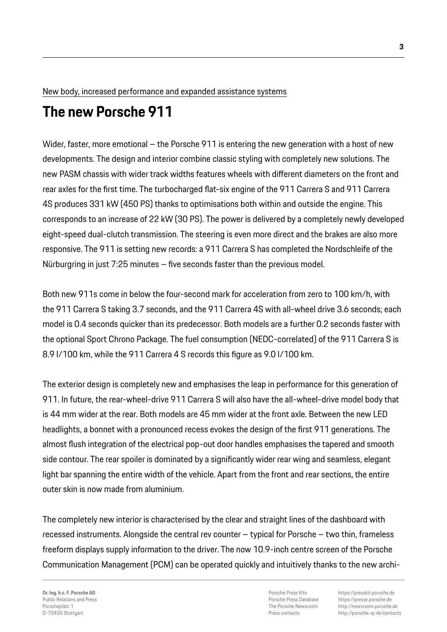#### New body, increased performance and expanded assistance systems

# **The new Porsche 911**

Wider, faster, more emotional – the Porsche 911 is entering the new generation with a host of new developments. The design and interior combine classic styling with completely new solutions. The new PASM chassis with wider track widths features wheels with different diameters on the front and rear axles for the first time. The turbocharged flat-six engine of the 911 Carrera S and 911 Carrera 4S produces 331 kW (450 PS) thanks to optimisations both within and outside the engine. This corresponds to an increase of 22 kW (30 PS). The power is delivered by a completely newly developed eight-speed dual-clutch transmission. The steering is even more direct and the brakes are also more responsive. The 911 is setting new records: a 911 Carrera S has completed the Nordschleife of the Nürburgring in just 7:25 minutes – five seconds faster than the previous model.

Both new 911s come in below the four-second mark for acceleration from zero to 100 km/h, with the 911 Carrera S taking 3.7 seconds, and the 911 Carrera 4S with all-wheel drive 3.6 seconds; each model is 0.4 seconds quicker than its predecessor. Both models are a further 0.2 seconds faster with the optional Sport Chrono Package. The fuel consumption (NEDC-correlated) of the 911 Carrera S is 8.9 l/100 km, while the 911 Carrera 4 S records this figure as 9.0 l/100 km.

The exterior design is completely new and emphasises the leap in performance for this generation of 911. In future, the rear-wheel-drive 911 Carrera S will also have the all-wheel-drive model body that is 44 mm wider at the rear. Both models are 45 mm wider at the front axle. Between the new LED headlights, a bonnet with a pronounced recess evokes the design of the first 911 generations. The almost flush integration of the electrical pop-out door handles emphasises the tapered and smooth side contour. The rear spoiler is dominated by a significantly wider rear wing and seamless, elegant light bar spanning the entire width of the vehicle. Apart from the front and rear sections, the entire outer skin is now made from aluminium.

The completely new interior is characterised by the clear and straight lines of the dashboard with recessed instruments. Alongside the central rev counter – typical for Porsche – two thin, frameless freeform displays supply information to the driver. The now 10.9-inch centre screen of the Porsche Communication Management (PCM) can be operated quickly and intuitively thanks to the new archi-

Porsche Press Kits Porsche Press Database The Porsche Newsroom Press contacts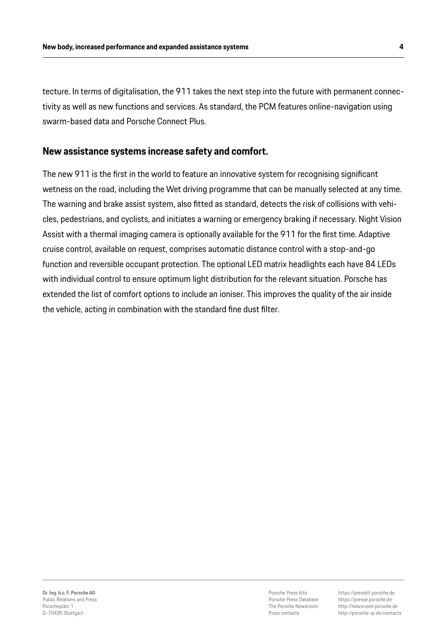tecture. In terms of digitalisation, the 911 takes the next step into the future with permanent connectivity as well as new functions and services. As standard, the PCM features online-navigation using swarm-based data and Porsche Connect Plus.

#### **New assistance systems increase safety and comfort.**

The new 911 is the first in the world to feature an innovative system for recognising significant wetness on the road, including the Wet driving programme that can be manually selected at any time. The warning and brake assist system, also fitted as standard, detects the risk of collisions with vehicles, pedestrians, and cyclists, and initiates a warning or emergency braking if necessary. Night Vision Assist with a thermal imaging camera is optionally available for the 911 for the first time. Adaptive cruise control, available on request, comprises automatic distance control with a stop-and-go function and reversible occupant protection. The optional LED matrix headlights each have 84 LEDs with individual control to ensure optimum light distribution for the relevant situation. Porsche has extended the list of comfort options to include an ioniser. This improves the quality of the air inside the vehicle, acting in combination with the standard fine dust filter.

Porsche Press Kits Porsche Press Database The Porsche Newsroom Press contacts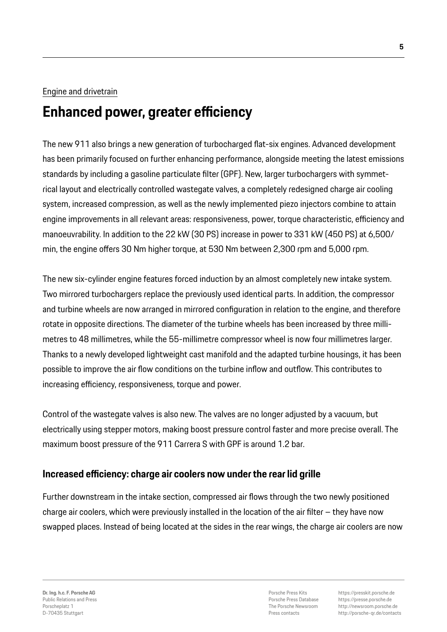#### Engine and drivetrain

# **Enhanced power, greater efficiency**

The new 911 also brings a new generation of turbocharged flat-six engines. Advanced development has been primarily focused on further enhancing performance, alongside meeting the latest emissions standards by including a gasoline particulate filter (GPF). New, larger turbochargers with symmetrical layout and electrically controlled wastegate valves, a completely redesigned charge air cooling system, increased compression, as well as the newly implemented piezo injectors combine to attain engine improvements in all relevant areas: responsiveness, power, torque characteristic, efficiency and manoeuvrability. In addition to the 22 kW (30 PS) increase in power to 331 kW (450 PS) at 6,500/ min, the engine offers 30 Nm higher torque, at 530 Nm between 2,300 rpm and 5,000 rpm.

The new six-cylinder engine features forced induction by an almost completely new intake system. Two mirrored turbochargers replace the previously used identical parts. In addition, the compressor and turbine wheels are now arranged in mirrored configuration in relation to the engine, and therefore rotate in opposite directions. The diameter of the turbine wheels has been increased by three millimetres to 48 millimetres, while the 55-millimetre compressor wheel is now four millimetres larger. Thanks to a newly developed lightweight cast manifold and the adapted turbine housings, it has been possible to improve the air flow conditions on the turbine inflow and outflow. This contributes to increasing efficiency, responsiveness, torque and power.

Control of the wastegate valves is also new. The valves are no longer adjusted by a vacuum, but electrically using stepper motors, making boost pressure control faster and more precise overall. The maximum boost pressure of the 911 Carrera S with GPF is around 1.2 bar.

# **Increased efficiency: charge air coolers now under the rear lid grille**

Further downstream in the intake section, compressed air flows through the two newly positioned charge air coolers, which were previously installed in the location of the air filter – they have now swapped places. Instead of being located at the sides in the rear wings, the charge air coolers are now

Porsche Press Kits Porsche Press Database The Porsche Newsroom Press contacts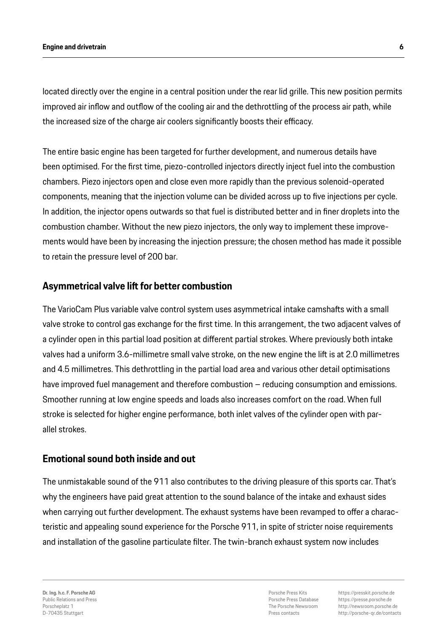located directly over the engine in a central position under the rear lid grille. This new position permits improved air inflow and outflow of the cooling air and the dethrottling of the process air path, while the increased size of the charge air coolers significantly boosts their efficacy.

The entire basic engine has been targeted for further development, and numerous details have been optimised. For the first time, piezo-controlled injectors directly inject fuel into the combustion chambers. Piezo injectors open and close even more rapidly than the previous solenoid-operated components, meaning that the injection volume can be divided across up to five injections per cycle. In addition, the injector opens outwards so that fuel is distributed better and in finer droplets into the combustion chamber. Without the new piezo injectors, the only way to implement these improvements would have been by increasing the injection pressure; the chosen method has made it possible to retain the pressure level of 200 bar.

### **Asymmetrical valve lift for better combustion**

The VarioCam Plus variable valve control system uses asymmetrical intake camshafts with a small valve stroke to control gas exchange for the first time. In this arrangement, the two adjacent valves of a cylinder open in this partial load position at different partial strokes. Where previously both intake valves had a uniform 3.6-millimetre small valve stroke, on the new engine the lift is at 2.0 millimetres and 4.5 millimetres. This dethrottling in the partial load area and various other detail optimisations have improved fuel management and therefore combustion – reducing consumption and emissions. Smoother running at low engine speeds and loads also increases comfort on the road. When full stroke is selected for higher engine performance, both inlet valves of the cylinder open with parallel strokes.

#### **Emotional sound both inside and out**

The unmistakable sound of the 911 also contributes to the driving pleasure of this sports car. That's why the engineers have paid great attention to the sound balance of the intake and exhaust sides when carrying out further development. The exhaust systems have been revamped to offer a characteristic and appealing sound experience for the Porsche 911, in spite of stricter noise requirements and installation of the gasoline particulate filter. The twin-branch exhaust system now includes

Porsche Press Kits Porsche Press Database The Porsche Newsroom Press contacts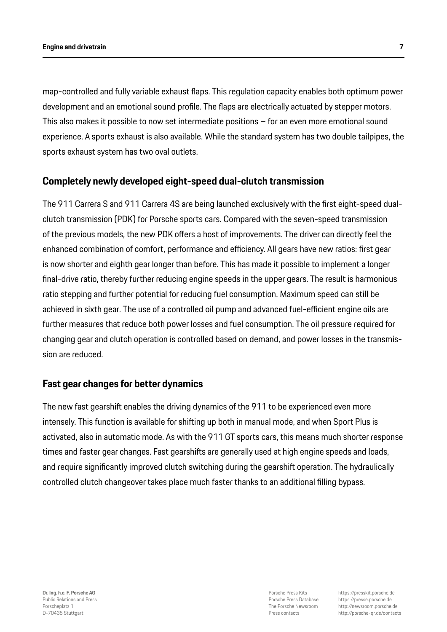map-controlled and fully variable exhaust flaps. This regulation capacity enables both optimum power development and an emotional sound profile. The flaps are electrically actuated by stepper motors. This also makes it possible to now set intermediate positions – for an even more emotional sound experience. A sports exhaust is also available. While the standard system has two double tailpipes, the sports exhaust system has two oval outlets.

# **Completely newly developed eight-speed dual-clutch transmission**

The 911 Carrera S and 911 Carrera 4S are being launched exclusively with the first eight-speed dualclutch transmission (PDK) for Porsche sports cars. Compared with the seven-speed transmission of the previous models, the new PDK offers a host of improvements. The driver can directly feel the enhanced combination of comfort, performance and efficiency. All gears have new ratios: first gear is now shorter and eighth gear longer than before. This has made it possible to implement a longer final-drive ratio, thereby further reducing engine speeds in the upper gears. The result is harmonious ratio stepping and further potential for reducing fuel consumption. Maximum speed can still be achieved in sixth gear. The use of a controlled oil pump and advanced fuel-efficient engine oils are further measures that reduce both power losses and fuel consumption. The oil pressure required for changing gear and clutch operation is controlled based on demand, and power losses in the transmission are reduced.

#### **Fast gear changes for better dynamics**

The new fast gearshift enables the driving dynamics of the 911 to be experienced even more intensely. This function is available for shifting up both in manual mode, and when Sport Plus is activated, also in automatic mode. As with the 911 GT sports cars, this means much shorter response times and faster gear changes. Fast gearshifts are generally used at high engine speeds and loads, and require significantly improved clutch switching during the gearshift operation. The hydraulically controlled clutch changeover takes place much faster thanks to an additional filling bypass.

Porsche Press Kits Porsche Press Database The Porsche Newsroom Press contacts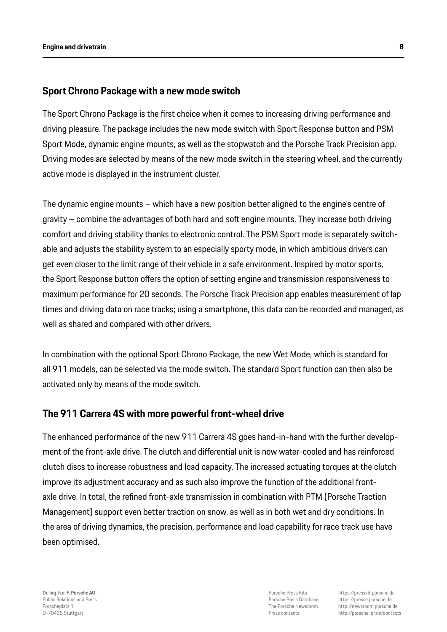#### **Sport Chrono Package with a new mode switch**

The Sport Chrono Package is the first choice when it comes to increasing driving performance and driving pleasure. The package includes the new mode switch with Sport Response button and PSM Sport Mode, dynamic engine mounts, as well as the stopwatch and the Porsche Track Precision app. Driving modes are selected by means of the new mode switch in the steering wheel, and the currently active mode is displayed in the instrument cluster.

The dynamic engine mounts – which have a new position better aligned to the engine's centre of gravity – combine the advantages of both hard and soft engine mounts. They increase both driving comfort and driving stability thanks to electronic control. The PSM Sport mode is separately switchable and adjusts the stability system to an especially sporty mode, in which ambitious drivers can get even closer to the limit range of their vehicle in a safe environment. Inspired by motor sports, the Sport Response button offers the option of setting engine and transmission responsiveness to maximum performance for 20 seconds. The Porsche Track Precision app enables measurement of lap times and driving data on race tracks; using a smartphone, this data can be recorded and managed, as well as shared and compared with other drivers.

In combination with the optional Sport Chrono Package, the new Wet Mode, which is standard for all 911 models, can be selected via the mode switch. The standard Sport function can then also be activated only by means of the mode switch.

#### **The 911 Carrera 4S with more powerful front-wheel drive**

The enhanced performance of the new 911 Carrera 4S goes hand-in-hand with the further development of the front-axle drive. The clutch and differential unit is now water-cooled and has reinforced clutch discs to increase robustness and load capacity. The increased actuating torques at the clutch improve its adjustment accuracy and as such also improve the function of the additional frontaxle drive. In total, the refined front-axle transmission in combination with PTM (Porsche Traction Management) support even better traction on snow, as well as in both wet and dry conditions. In the area of driving dynamics, the precision, performance and load capability for race track use have been optimised.

**Dr. Ing. h.c. F. Porsche AG** Public Relations and Press Porscheplatz 1 D-70435 Stuttgart

Porsche Press Kits Porsche Press Database The Porsche Newsroom Press contacts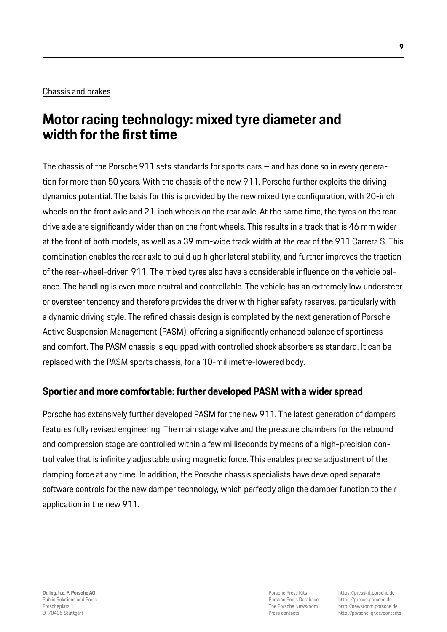#### Chassis and brakes

# **Motor racing technology: mixed tyre diameter and width for the first time**

The chassis of the Porsche 911 sets standards for sports cars – and has done so in every generation for more than 50 years. With the chassis of the new 911, Porsche further exploits the driving dynamics potential. The basis for this is provided by the new mixed tyre configuration, with 20-inch wheels on the front axle and 21-inch wheels on the rear axle. At the same time, the tyres on the rear drive axle are significantly wider than on the front wheels. This results in a track that is 46 mm wider at the front of both models, as well as a 39 mm-wide track width at the rear of the 911 Carrera S. This combination enables the rear axle to build up higher lateral stability, and further improves the traction of the rear-wheel-driven 911. The mixed tyres also have a considerable influence on the vehicle balance. The handling is even more neutral and controllable. The vehicle has an extremely low understeer or oversteer tendency and therefore provides the driver with higher safety reserves, particularly with a dynamic driving style. The refined chassis design is completed by the next generation of Porsche Active Suspension Management (PASM), offering a significantly enhanced balance of sportiness and comfort. The PASM chassis is equipped with controlled shock absorbers as standard. It can be replaced with the PASM sports chassis, for a 10-millimetre-lowered body.

# **Sportier and more comfortable: further developed PASM with a wider spread**

Porsche has extensively further developed PASM for the new 911. The latest generation of dampers features fully revised engineering. The main stage valve and the pressure chambers for the rebound and compression stage are controlled within a few milliseconds by means of a high-precision control valve that is infinitely adjustable using magnetic force. This enables precise adjustment of the damping force at any time. In addition, the Porsche chassis specialists have developed separate software controls for the new damper technology, which perfectly align the damper function to their application in the new 911.

Porsche Press Kits Porsche Press Database The Porsche Newsroom Press contacts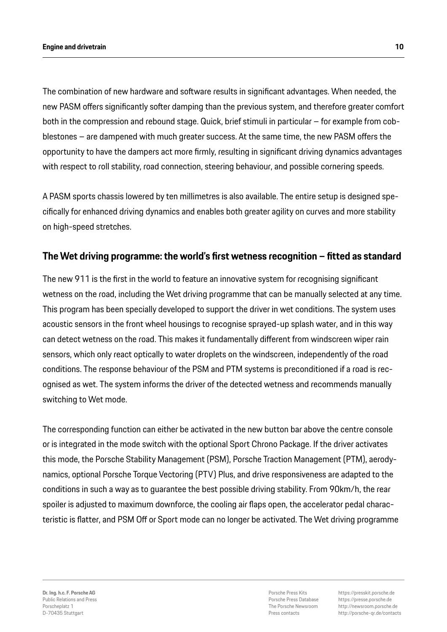The combination of new hardware and software results in significant advantages. When needed, the new PASM offers significantly softer damping than the previous system, and therefore greater comfort both in the compression and rebound stage. Quick, brief stimuli in particular – for example from cobblestones – are dampened with much greater success. At the same time, the new PASM offers the opportunity to have the dampers act more firmly, resulting in significant driving dynamics advantages with respect to roll stability, road connection, steering behaviour, and possible cornering speeds.

A PASM sports chassis lowered by ten millimetres is also available. The entire setup is designed specifically for enhanced driving dynamics and enables both greater agility on curves and more stability on high-speed stretches.

### **The Wet driving programme: the world's first wetness recognition – fitted as standard**

The new 911 is the first in the world to feature an innovative system for recognising significant wetness on the road, including the Wet driving programme that can be manually selected at any time. This program has been specially developed to support the driver in wet conditions. The system uses acoustic sensors in the front wheel housings to recognise sprayed-up splash water, and in this way can detect wetness on the road. This makes it fundamentally different from windscreen wiper rain sensors, which only react optically to water droplets on the windscreen, independently of the road conditions. The response behaviour of the PSM and PTM systems is preconditioned if a road is recognised as wet. The system informs the driver of the detected wetness and recommends manually switching to Wet mode.

The corresponding function can either be activated in the new button bar above the centre console or is integrated in the mode switch with the optional Sport Chrono Package. If the driver activates this mode, the Porsche Stability Management (PSM), Porsche Traction Management (PTM), aerodynamics, optional Porsche Torque Vectoring (PTV) Plus, and drive responsiveness are adapted to the conditions in such a way as to guarantee the best possible driving stability. From 90km/h, the rear spoiler is adjusted to maximum downforce, the cooling air flaps open, the accelerator pedal characteristic is flatter, and PSM Off or Sport mode can no longer be activated. The Wet driving programme

Porsche Press Kits Porsche Press Database The Porsche Newsroom Press contacts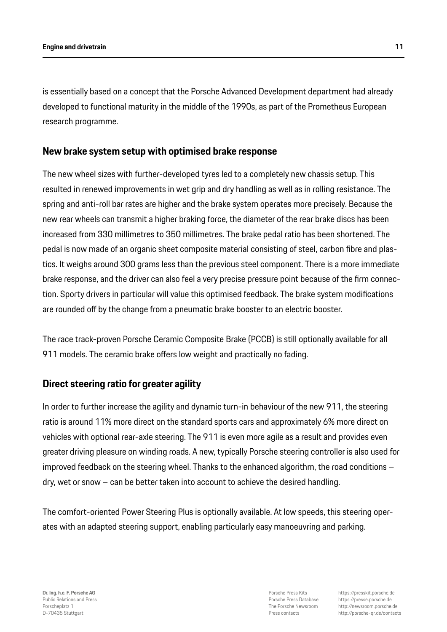is essentially based on a concept that the Porsche Advanced Development department had already developed to functional maturity in the middle of the 1990s, as part of the Prometheus European research programme.

### **New brake system setup with optimised brake response**

The new wheel sizes with further-developed tyres led to a completely new chassis setup. This resulted in renewed improvements in wet grip and dry handling as well as in rolling resistance. The spring and anti-roll bar rates are higher and the brake system operates more precisely. Because the new rear wheels can transmit a higher braking force, the diameter of the rear brake discs has been increased from 330 millimetres to 350 millimetres. The brake pedal ratio has been shortened. The pedal is now made of an organic sheet composite material consisting of steel, carbon fibre and plastics. It weighs around 300 grams less than the previous steel component. There is a more immediate brake response, and the driver can also feel a very precise pressure point because of the firm connection. Sporty drivers in particular will value this optimised feedback. The brake system modifications are rounded off by the change from a pneumatic brake booster to an electric booster.

The race track-proven Porsche Ceramic Composite Brake (PCCB) is still optionally available for all 911 models. The ceramic brake offers low weight and practically no fading.

# **Direct steering ratio for greater agility**

In order to further increase the agility and dynamic turn-in behaviour of the new 911, the steering ratio is around 11% more direct on the standard sports cars and approximately 6% more direct on vehicles with optional rear-axle steering. The 911 is even more agile as a result and provides even greater driving pleasure on winding roads. A new, typically Porsche steering controller is also used for improved feedback on the steering wheel. Thanks to the enhanced algorithm, the road conditions – dry, wet or snow – can be better taken into account to achieve the desired handling.

The comfort-oriented Power Steering Plus is optionally available. At low speeds, this steering operates with an adapted steering support, enabling particularly easy manoeuvring and parking.

Porsche Press Kits Porsche Press Database The Porsche Newsroom Press contacts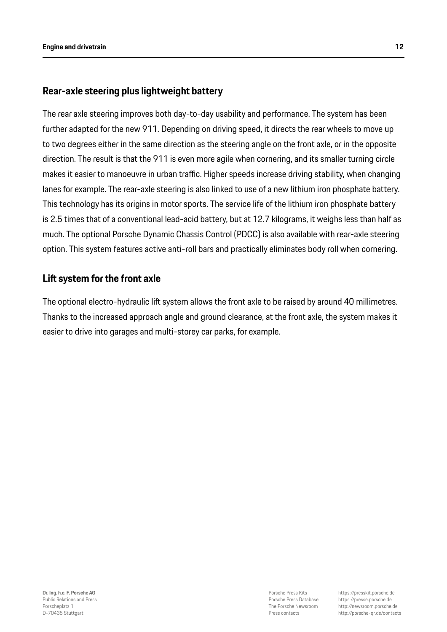# **Rear-axle steering plus lightweight battery**

The rear axle steering improves both day-to-day usability and performance. The system has been further adapted for the new 911. Depending on driving speed, it directs the rear wheels to move up to two degrees either in the same direction as the steering angle on the front axle, or in the opposite direction. The result is that the 911 is even more agile when cornering, and its smaller turning circle makes it easier to manoeuvre in urban traffic. Higher speeds increase driving stability, when changing lanes for example. The rear-axle steering is also linked to use of a new lithium iron phosphate battery. This technology has its origins in motor sports. The service life of the lithium iron phosphate battery is 2.5 times that of a conventional lead-acid battery, but at 12.7 kilograms, it weighs less than half as much. The optional Porsche Dynamic Chassis Control (PDCC) is also available with rear-axle steering option. This system features active anti-roll bars and practically eliminates body roll when cornering.

# **Lift system for the front axle**

The optional electro-hydraulic lift system allows the front axle to be raised by around 40 millimetres. Thanks to the increased approach angle and ground clearance, at the front axle, the system makes it easier to drive into garages and multi-storey car parks, for example.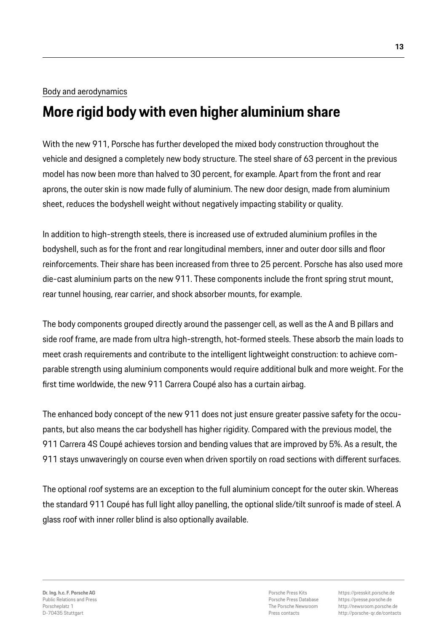#### Body and aerodynamics

# **More rigid body with even higher aluminium share**

With the new 911, Porsche has further developed the mixed body construction throughout the vehicle and designed a completely new body structure. The steel share of 63 percent in the previous model has now been more than halved to 30 percent, for example. Apart from the front and rear aprons, the outer skin is now made fully of aluminium. The new door design, made from aluminium sheet, reduces the bodyshell weight without negatively impacting stability or quality.

In addition to high-strength steels, there is increased use of extruded aluminium profiles in the bodyshell, such as for the front and rear longitudinal members, inner and outer door sills and floor reinforcements. Their share has been increased from three to 25 percent. Porsche has also used more die-cast aluminium parts on the new 911. These components include the front spring strut mount, rear tunnel housing, rear carrier, and shock absorber mounts, for example.

The body components grouped directly around the passenger cell, as well as the A and B pillars and side roof frame, are made from ultra high-strength, hot-formed steels. These absorb the main loads to meet crash requirements and contribute to the intelligent lightweight construction: to achieve comparable strength using aluminium components would require additional bulk and more weight. For the first time worldwide, the new 911 Carrera Coupé also has a curtain airbag.

The enhanced body concept of the new 911 does not just ensure greater passive safety for the occupants, but also means the car bodyshell has higher rigidity. Compared with the previous model, the 911 Carrera 4S Coupé achieves torsion and bending values that are improved by 5%. As a result, the 911 stays unwaveringly on course even when driven sportily on road sections with different surfaces.

The optional roof systems are an exception to the full aluminium concept for the outer skin. Whereas the standard 911 Coupé has full light alloy panelling, the optional slide/tilt sunroof is made of steel. A glass roof with inner roller blind is also optionally available.

Porsche Press Kits Porsche Press Database The Porsche Newsroom Press contacts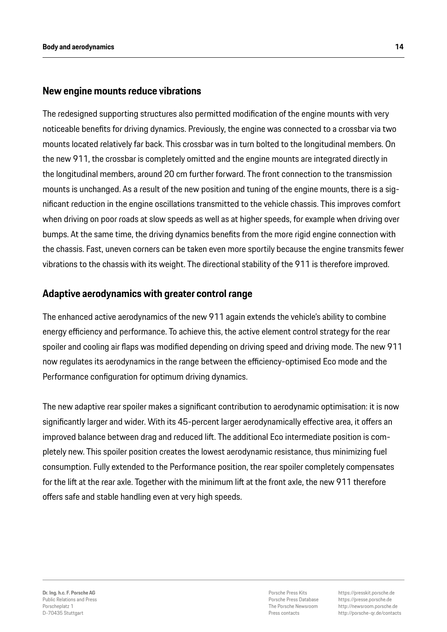#### **New engine mounts reduce vibrations**

The redesigned supporting structures also permitted modification of the engine mounts with very noticeable benefits for driving dynamics. Previously, the engine was connected to a crossbar via two mounts located relatively far back. This crossbar was in turn bolted to the longitudinal members. On the new 911, the crossbar is completely omitted and the engine mounts are integrated directly in the longitudinal members, around 20 cm further forward. The front connection to the transmission mounts is unchanged. As a result of the new position and tuning of the engine mounts, there is a significant reduction in the engine oscillations transmitted to the vehicle chassis. This improves comfort when driving on poor roads at slow speeds as well as at higher speeds, for example when driving over bumps. At the same time, the driving dynamics benefits from the more rigid engine connection with the chassis. Fast, uneven corners can be taken even more sportily because the engine transmits fewer vibrations to the chassis with its weight. The directional stability of the 911 is therefore improved.

### **Adaptive aerodynamics with greater control range**

The enhanced active aerodynamics of the new 911 again extends the vehicle's ability to combine energy efficiency and performance. To achieve this, the active element control strategy for the rear spoiler and cooling air flaps was modified depending on driving speed and driving mode. The new 911 now regulates its aerodynamics in the range between the efficiency-optimised Eco mode and the Performance configuration for optimum driving dynamics.

The new adaptive rear spoiler makes a significant contribution to aerodynamic optimisation: it is now significantly larger and wider. With its 45-percent larger aerodynamically effective area, it offers an improved balance between drag and reduced lift. The additional Eco intermediate position is completely new. This spoiler position creates the lowest aerodynamic resistance, thus minimizing fuel consumption. Fully extended to the Performance position, the rear spoiler completely compensates for the lift at the rear axle. Together with the minimum lift at the front axle, the new 911 therefore offers safe and stable handling even at very high speeds.

Porsche Press Kits Porsche Press Database The Porsche Newsroom Press contacts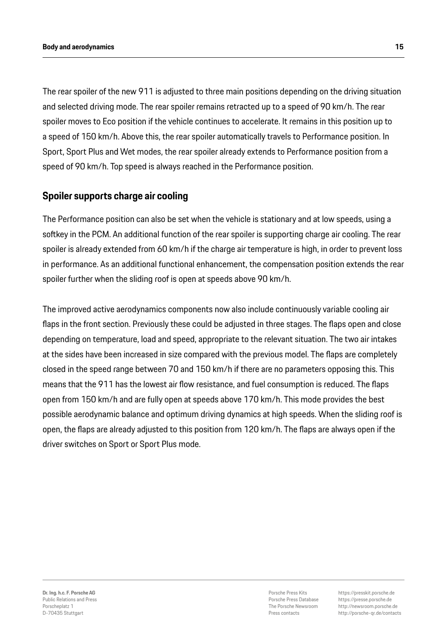#### **Body and aerodynamics 15**

The rear spoiler of the new 911 is adjusted to three main positions depending on the driving situation and selected driving mode. The rear spoiler remains retracted up to a speed of 90 km/h. The rear spoiler moves to Eco position if the vehicle continues to accelerate. It remains in this position up to a speed of 150 km/h. Above this, the rear spoiler automatically travels to Performance position. In Sport, Sport Plus and Wet modes, the rear spoiler already extends to Performance position from a speed of 90 km/h. Top speed is always reached in the Performance position.

# **Spoiler supports charge air cooling**

The Performance position can also be set when the vehicle is stationary and at low speeds, using a softkey in the PCM. An additional function of the rear spoiler is supporting charge air cooling. The rear spoiler is already extended from 60 km/h if the charge air temperature is high, in order to prevent loss in performance. As an additional functional enhancement, the compensation position extends the rear spoiler further when the sliding roof is open at speeds above 90 km/h.

The improved active aerodynamics components now also include continuously variable cooling air flaps in the front section. Previously these could be adjusted in three stages. The flaps open and close depending on temperature, load and speed, appropriate to the relevant situation. The two air intakes at the sides have been increased in size compared with the previous model. The flaps are completely closed in the speed range between 70 and 150 km/h if there are no parameters opposing this. This means that the 911 has the lowest air flow resistance, and fuel consumption is reduced. The flaps open from 150 km/h and are fully open at speeds above 170 km/h. This mode provides the best possible aerodynamic balance and optimum driving dynamics at high speeds. When the sliding roof is open, the flaps are already adjusted to this position from 120 km/h. The flaps are always open if the driver switches on Sport or Sport Plus mode.

Porsche Press Kits Porsche Press Database The Porsche Newsroom Press contacts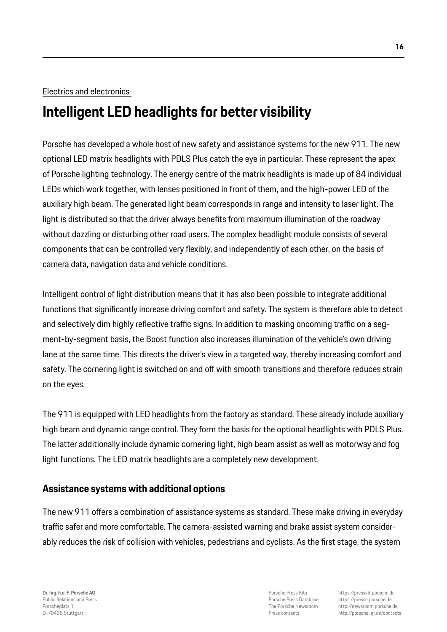#### Electrics and electronics

# **Intelligent LED headlights for better visibility**

Porsche has developed a whole host of new safety and assistance systems for the new 911. The new optional LED matrix headlights with PDLS Plus catch the eye in particular. These represent the apex of Porsche lighting technology. The energy centre of the matrix headlights is made up of 84 individual LEDs which work together, with lenses positioned in front of them, and the high-power LED of the auxiliary high beam. The generated light beam corresponds in range and intensity to laser light. The light is distributed so that the driver always benefits from maximum illumination of the roadway without dazzling or disturbing other road users. The complex headlight module consists of several components that can be controlled very flexibly, and independently of each other, on the basis of camera data, navigation data and vehicle conditions.

Intelligent control of light distribution means that it has also been possible to integrate additional functions that significantly increase driving comfort and safety. The system is therefore able to detect and selectively dim highly reflective traffic signs. In addition to masking oncoming traffic on a segment-by-segment basis, the Boost function also increases illumination of the vehicle's own driving lane at the same time. This directs the driver's view in a targeted way, thereby increasing comfort and safety. The cornering light is switched on and off with smooth transitions and therefore reduces strain on the eyes.

The 911 is equipped with LED headlights from the factory as standard. These already include auxiliary high beam and dynamic range control. They form the basis for the optional headlights with PDLS Plus. The latter additionally include dynamic cornering light, high beam assist as well as motorway and fog light functions. The LED matrix headlights are a completely new development.

# **Assistance systems with additional options**

The new 911 offers a combination of assistance systems as standard. These make driving in everyday traffic safer and more comfortable. The camera-assisted warning and brake assist system considerably reduces the risk of collision with vehicles, pedestrians and cyclists. As the first stage, the system

Porsche Press Kits Porsche Press Database The Porsche Newsroom Press contacts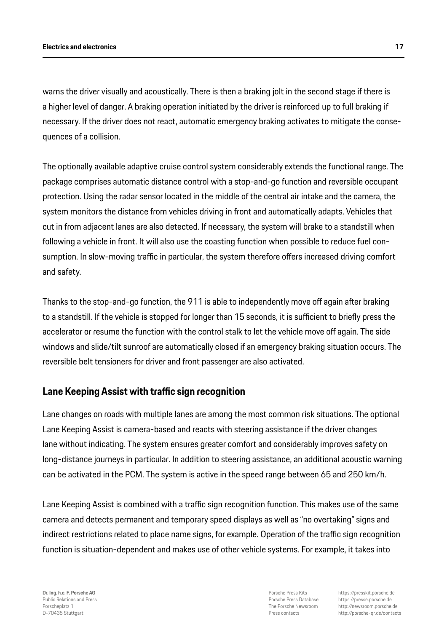warns the driver visually and acoustically. There is then a braking jolt in the second stage if there is a higher level of danger. A braking operation initiated by the driver is reinforced up to full braking if necessary. If the driver does not react, automatic emergency braking activates to mitigate the consequences of a collision.

The optionally available adaptive cruise control system considerably extends the functional range. The package comprises automatic distance control with a stop-and-go function and reversible occupant protection. Using the radar sensor located in the middle of the central air intake and the camera, the system monitors the distance from vehicles driving in front and automatically adapts. Vehicles that cut in from adjacent lanes are also detected. If necessary, the system will brake to a standstill when following a vehicle in front. It will also use the coasting function when possible to reduce fuel consumption. In slow-moving traffic in particular, the system therefore offers increased driving comfort and safety.

Thanks to the stop-and-go function, the 911 is able to independently move off again after braking to a standstill. If the vehicle is stopped for longer than 15 seconds, it is sufficient to briefly press the accelerator or resume the function with the control stalk to let the vehicle move off again. The side windows and slide/tilt sunroof are automatically closed if an emergency braking situation occurs. The reversible belt tensioners for driver and front passenger are also activated.

# **Lane Keeping Assist with traffic sign recognition**

Lane changes on roads with multiple lanes are among the most common risk situations. The optional Lane Keeping Assist is camera-based and reacts with steering assistance if the driver changes lane without indicating. The system ensures greater comfort and considerably improves safety on long-distance journeys in particular. In addition to steering assistance, an additional acoustic warning can be activated in the PCM. The system is active in the speed range between 65 and 250 km/h.

Lane Keeping Assist is combined with a traffic sign recognition function. This makes use of the same camera and detects permanent and temporary speed displays as well as "no overtaking" signs and indirect restrictions related to place name signs, for example. Operation of the traffic sign recognition function is situation-dependent and makes use of other vehicle systems. For example, it takes into

**Dr. Ing. h.c. F. Porsche AG** Public Relations and Press Porscheplatz 1 D-70435 Stuttgart

Porsche Press Kits Porsche Press Database The Porsche Newsroom Press contacts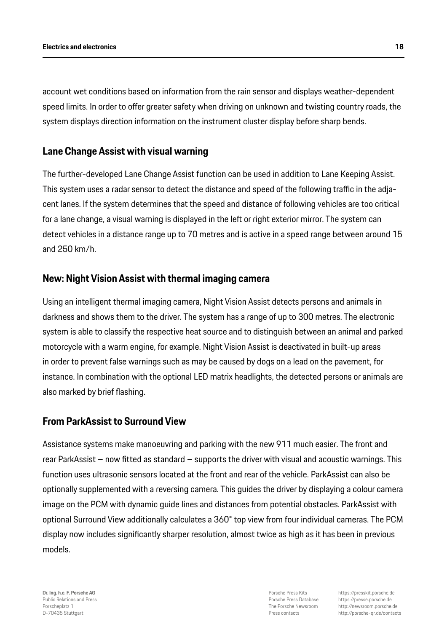account wet conditions based on information from the rain sensor and displays weather-dependent speed limits. In order to offer greater safety when driving on unknown and twisting country roads, the system displays direction information on the instrument cluster display before sharp bends.

### **Lane Change Assist with visual warning**

The further-developed Lane Change Assist function can be used in addition to Lane Keeping Assist. This system uses a radar sensor to detect the distance and speed of the following traffic in the adjacent lanes. If the system determines that the speed and distance of following vehicles are too critical for a lane change, a visual warning is displayed in the left or right exterior mirror. The system can detect vehicles in a distance range up to 70 metres and is active in a speed range between around 15 and 250 km/h.

### **New: Night Vision Assist with thermal imaging camera**

Using an intelligent thermal imaging camera, Night Vision Assist detects persons and animals in darkness and shows them to the driver. The system has a range of up to 300 metres. The electronic system is able to classify the respective heat source and to distinguish between an animal and parked motorcycle with a warm engine, for example. Night Vision Assist is deactivated in built-up areas in order to prevent false warnings such as may be caused by dogs on a lead on the pavement, for instance. In combination with the optional LED matrix headlights, the detected persons or animals are also marked by brief flashing.

# **From ParkAssist to Surround View**

Assistance systems make manoeuvring and parking with the new 911 much easier. The front and rear ParkAssist – now fitted as standard – supports the driver with visual and acoustic warnings. This function uses ultrasonic sensors located at the front and rear of the vehicle. ParkAssist can also be optionally supplemented with a reversing camera. This guides the driver by displaying a colour camera image on the PCM with dynamic guide lines and distances from potential obstacles. ParkAssist with optional Surround View additionally calculates a 360° top view from four individual cameras. The PCM display now includes significantly sharper resolution, almost twice as high as it has been in previous models.

**Dr. Ing. h.c. F. Porsche AG** Public Relations and Press Porscheplatz 1 D-70435 Stuttgart

Porsche Press Kits Porsche Press Database The Porsche Newsroom Press contacts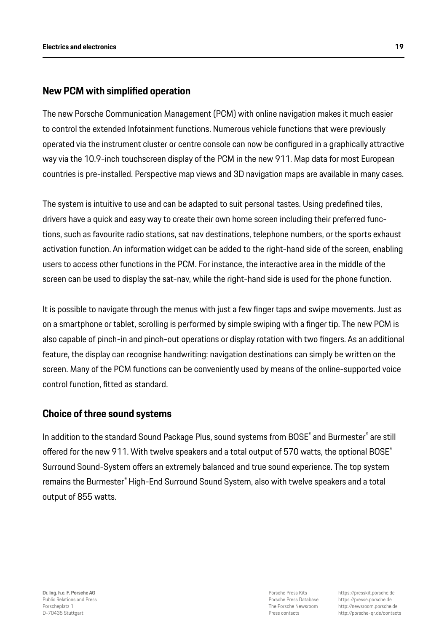# **New PCM with simplified operation**

The new Porsche Communication Management (PCM) with online navigation makes it much easier to control the extended Infotainment functions. Numerous vehicle functions that were previously operated via the instrument cluster or centre console can now be configured in a graphically attractive way via the 10.9-inch touchscreen display of the PCM in the new 911. Map data for most European countries is pre-installed. Perspective map views and 3D navigation maps are available in many cases.

The system is intuitive to use and can be adapted to suit personal tastes. Using predefined tiles, drivers have a quick and easy way to create their own home screen including their preferred functions, such as favourite radio stations, sat nav destinations, telephone numbers, or the sports exhaust activation function. An information widget can be added to the right-hand side of the screen, enabling users to access other functions in the PCM. For instance, the interactive area in the middle of the screen can be used to display the sat-nav, while the right-hand side is used for the phone function.

It is possible to navigate through the menus with just a few finger taps and swipe movements. Just as on a smartphone or tablet, scrolling is performed by simple swiping with a finger tip. The new PCM is also capable of pinch-in and pinch-out operations or display rotation with two fingers. As an additional feature, the display can recognise handwriting: navigation destinations can simply be written on the screen. Many of the PCM functions can be conveniently used by means of the online-supported voice control function, fitted as standard.

#### **Choice of three sound systems**

In addition to the standard Sound Package Plus, sound systems from BOSE® and Burmester® are still offered for the new 911. With twelve speakers and a total output of 570 watts, the optional BOSE® Surround Sound-System offers an extremely balanced and true sound experience. The top system remains the Burmester® High-End Surround Sound System, also with twelve speakers and a total output of 855 watts.

Porsche Press Kits Porsche Press Database The Porsche Newsroom Press contacts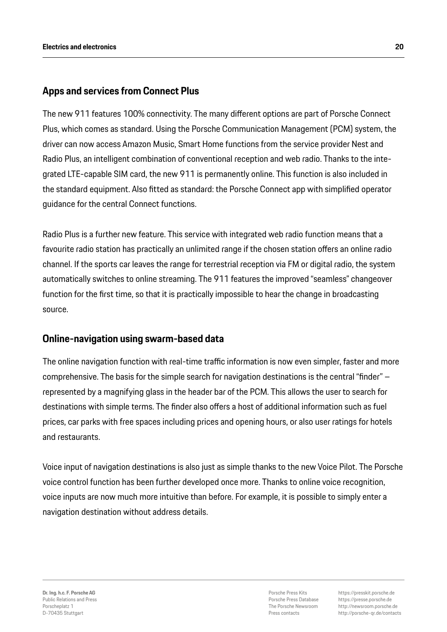# **Apps and services from Connect Plus**

The new 911 features 100% connectivity. The many different options are part of Porsche Connect Plus, which comes as standard. Using the Porsche Communication Management (PCM) system, the driver can now access Amazon Music, Smart Home functions from the service provider Nest and Radio Plus, an intelligent combination of conventional reception and web radio. Thanks to the integrated LTE-capable SIM card, the new 911 is permanently online. This function is also included in the standard equipment. Also fitted as standard: the Porsche Connect app with simplified operator guidance for the central Connect functions.

Radio Plus is a further new feature. This service with integrated web radio function means that a favourite radio station has practically an unlimited range if the chosen station offers an online radio channel. If the sports car leaves the range for terrestrial reception via FM or digital radio, the system automatically switches to online streaming. The 911 features the improved "seamless" changeover function for the first time, so that it is practically impossible to hear the change in broadcasting source.

# **Online-navigation using swarm-based data**

The online navigation function with real-time traffic information is now even simpler, faster and more comprehensive. The basis for the simple search for navigation destinations is the central "finder" – represented by a magnifying glass in the header bar of the PCM. This allows the user to search for destinations with simple terms. The finder also offers a host of additional information such as fuel prices, car parks with free spaces including prices and opening hours, or also user ratings for hotels and restaurants.

Voice input of navigation destinations is also just as simple thanks to the new Voice Pilot. The Porsche voice control function has been further developed once more. Thanks to online voice recognition, voice inputs are now much more intuitive than before. For example, it is possible to simply enter a navigation destination without address details.

Porsche Press Kits Porsche Press Database The Porsche Newsroom Press contacts